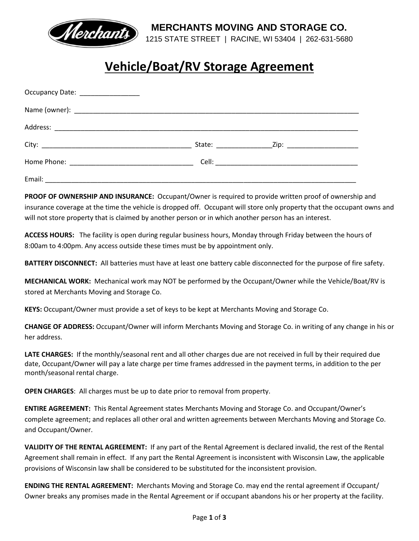

**MERCHANTS MOVING AND STORAGE CO.**

1215 STATE STREET | RACINE, WI 53404 | 262-631-5680

# **Vehicle/Boat/RV Storage Agreement**

| Occupancy Date: __________________ |  |
|------------------------------------|--|
|                                    |  |
|                                    |  |
|                                    |  |
|                                    |  |
|                                    |  |

**PROOF OF OWNERSHIP AND INSURANCE:** Occupant/Owner is required to provide written proof of ownership and insurance coverage at the time the vehicle is dropped off. Occupant will store only property that the occupant owns and will not store property that is claimed by another person or in which another person has an interest.

**ACCESS HOURS:** The facility is open during regular business hours, Monday through Friday between the hours of 8:00am to 4:00pm. Any access outside these times must be by appointment only.

**BATTERY DISCONNECT:** All batteries must have at least one battery cable disconnected for the purpose of fire safety.

**MECHANICAL WORK:** Mechanical work may NOT be performed by the Occupant/Owner while the Vehicle/Boat/RV is stored at Merchants Moving and Storage Co.

**KEYS:** Occupant/Owner must provide a set of keys to be kept at Merchants Moving and Storage Co.

**CHANGE OF ADDRESS:** Occupant/Owner will inform Merchants Moving and Storage Co. in writing of any change in his or her address.

LATE CHARGES: If the monthly/seasonal rent and all other charges due are not received in full by their required due date, Occupant/Owner will pay a late charge per time frames addressed in the payment terms, in addition to the per month/seasonal rental charge.

**OPEN CHARGES**: All charges must be up to date prior to removal from property.

**ENTIRE AGREEMENT:** This Rental Agreement states Merchants Moving and Storage Co. and Occupant/Owner's complete agreement; and replaces all other oral and written agreements between Merchants Moving and Storage Co. and Occupant/Owner.

**VALIDITY OF THE RENTAL AGREEMENT:** If any part of the Rental Agreement is declared invalid, the rest of the Rental Agreement shall remain in effect. If any part the Rental Agreement is inconsistent with Wisconsin Law, the applicable provisions of Wisconsin law shall be considered to be substituted for the inconsistent provision.

**ENDING THE RENTAL AGREEMENT:** Merchants Moving and Storage Co. may end the rental agreement if Occupant/ Owner breaks any promises made in the Rental Agreement or if occupant abandons his or her property at the facility.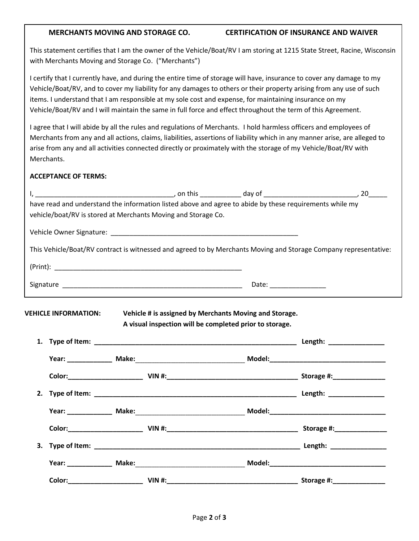#### **MERCHANTS MOVING AND STORAGE CO. CERTIFICATION OF INSURANCE AND WAIVER**

This statement certifies that I am the owner of the Vehicle/Boat/RV I am storing at 1215 State Street, Racine, Wisconsin with Merchants Moving and Storage Co. ("Merchants")

I certify that I currently have, and during the entire time of storage will have, insurance to cover any damage to my Vehicle/Boat/RV, and to cover my liability for any damages to others or their property arising from any use of such items. I understand that I am responsible at my sole cost and expense, for maintaining insurance on my Vehicle/Boat/RV and I will maintain the same in full force and effect throughout the term of this Agreement.

I agree that I will abide by all the rules and regulations of Merchants. I hold harmless officers and employees of Merchants from any and all actions, claims, liabilities, assertions of liability which in any manner arise, are alleged to arise from any and all activities connected directly or proximately with the storage of my Vehicle/Boat/RV with Merchants.

### **ACCEPTANCE OF TERMS:**

| have read and understand the information listed above and agree to abide by these requirements while my<br>vehicle/boat/RV is stored at Merchants Moving and Storage Co. |  |
|--------------------------------------------------------------------------------------------------------------------------------------------------------------------------|--|
|                                                                                                                                                                          |  |
| This Vehicle/Boat/RV contract is witnessed and agreed to by Merchants Moving and Storage Company representative:                                                         |  |
|                                                                                                                                                                          |  |
|                                                                                                                                                                          |  |
|                                                                                                                                                                          |  |
|                                                                                                                                                                          |  |
|                                                                                                                                                                          |  |
|                                                                                                                                                                          |  |
|                                                                                                                                                                          |  |
|                                                                                                                                                                          |  |
|                                                                                                                                                                          |  |
|                                                                                                                                                                          |  |
|                                                                                                                                                                          |  |